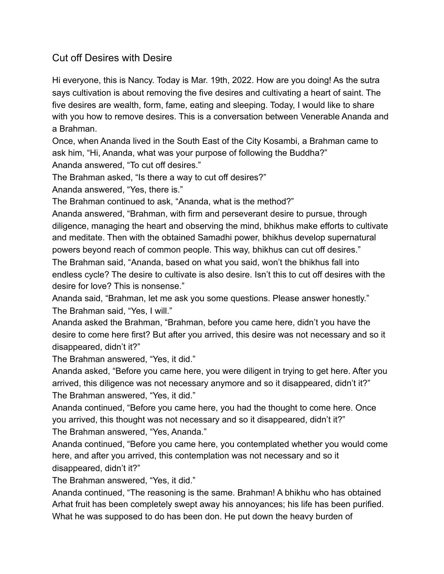## Cut off Desires with Desire

Hi everyone, this is Nancy. Today is Mar. 19th, 2022. How are you doing! As the sutra says cultivation is about removing the five desires and cultivating a heart of saint. The five desires are wealth, form, fame, eating and sleeping. Today, I would like to share with you how to remove desires. This is a conversation between Venerable Ananda and a Brahman.

Once, when Ananda lived in the South East of the City Kosambi, a Brahman came to ask him, "Hi, Ananda, what was your purpose of following the Buddha?" Ananda answered, "To cut off desires."

The Brahman asked, "Is there a way to cut off desires?"

Ananda answered, "Yes, there is."

The Brahman continued to ask, "Ananda, what is the method?"

Ananda answered, "Brahman, with firm and perseverant desire to pursue, through diligence, managing the heart and observing the mind, bhikhus make efforts to cultivate and meditate. Then with the obtained Samadhi power, bhikhus develop supernatural powers beyond reach of common people. This way, bhikhus can cut off desires."

The Brahman said, "Ananda, based on what you said, won't the bhikhus fall into endless cycle? The desire to cultivate is also desire. Isn't this to cut off desires with the desire for love? This is nonsense."

Ananda said, "Brahman, let me ask you some questions. Please answer honestly." The Brahman said, "Yes, I will."

Ananda asked the Brahman, "Brahman, before you came here, didn't you have the desire to come here first? But after you arrived, this desire was not necessary and so it disappeared, didn't it?"

The Brahman answered, "Yes, it did."

Ananda asked, "Before you came here, you were diligent in trying to get here. After you arrived, this diligence was not necessary anymore and so it disappeared, didn't it?" The Brahman answered, "Yes, it did."

Ananda continued, "Before you came here, you had the thought to come here. Once you arrived, this thought was not necessary and so it disappeared, didn't it?"

The Brahman answered, "Yes, Ananda."

Ananda continued, "Before you came here, you contemplated whether you would come here, and after you arrived, this contemplation was not necessary and so it disappeared, didn't it?"

The Brahman answered, "Yes, it did."

Ananda continued, "The reasoning is the same. Brahman! A bhikhu who has obtained Arhat fruit has been completely swept away his annoyances; his life has been purified. What he was supposed to do has been don. He put down the heavy burden of